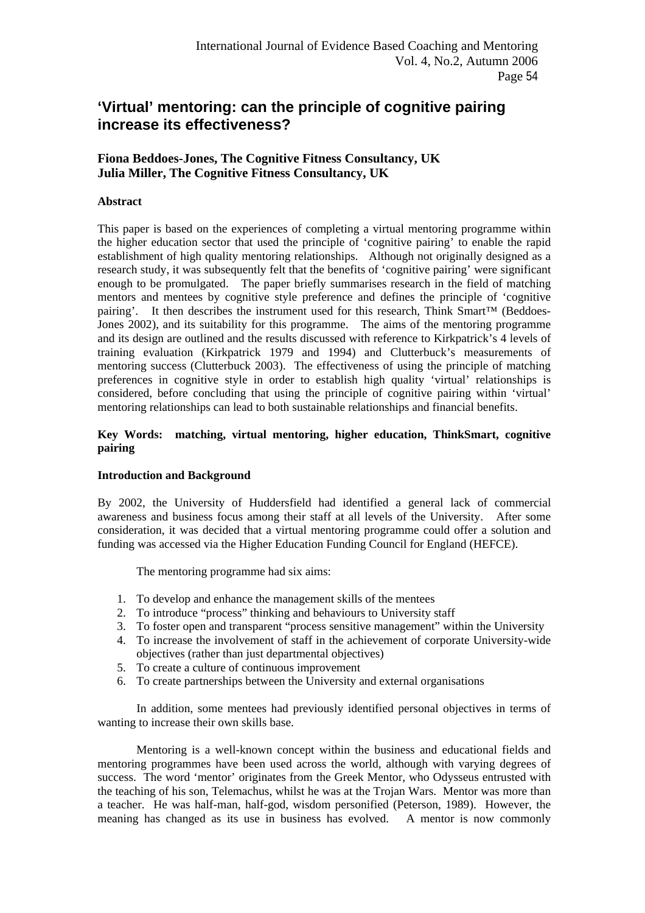# **'Virtual' mentoring: can the principle of cognitive pairing increase its effectiveness?**

## **Fiona Beddoes-Jones, The Cognitive Fitness Consultancy, UK Julia Miller, The Cognitive Fitness Consultancy, UK**

## **Abstract**

This paper is based on the experiences of completing a virtual mentoring programme within the higher education sector that used the principle of 'cognitive pairing' to enable the rapid establishment of high quality mentoring relationships. Although not originally designed as a research study, it was subsequently felt that the benefits of 'cognitive pairing' were significant enough to be promulgated. The paper briefly summarises research in the field of matching mentors and mentees by cognitive style preference and defines the principle of 'cognitive pairing'. It then describes the instrument used for this research, Think Smart™ (Beddoes-Jones 2002), and its suitability for this programme. The aims of the mentoring programme and its design are outlined and the results discussed with reference to Kirkpatrick's 4 levels of training evaluation (Kirkpatrick 1979 and 1994) and Clutterbuck's measurements of mentoring success (Clutterbuck 2003). The effectiveness of using the principle of matching preferences in cognitive style in order to establish high quality 'virtual' relationships is considered, before concluding that using the principle of cognitive pairing within 'virtual' mentoring relationships can lead to both sustainable relationships and financial benefits.

## **Key Words: matching, virtual mentoring, higher education, ThinkSmart, cognitive pairing**

#### **Introduction and Background**

By 2002, the University of Huddersfield had identified a general lack of commercial awareness and business focus among their staff at all levels of the University. After some consideration, it was decided that a virtual mentoring programme could offer a solution and funding was accessed via the Higher Education Funding Council for England (HEFCE).

The mentoring programme had six aims:

- 1. To develop and enhance the management skills of the mentees
- 2. To introduce "process" thinking and behaviours to University staff
- 3. To foster open and transparent "process sensitive management" within the University
- 4. To increase the involvement of staff in the achievement of corporate University-wide objectives (rather than just departmental objectives)
- 5. To create a culture of continuous improvement
- 6. To create partnerships between the University and external organisations

 In addition, some mentees had previously identified personal objectives in terms of wanting to increase their own skills base.

 Mentoring is a well-known concept within the business and educational fields and mentoring programmes have been used across the world, although with varying degrees of success. The word 'mentor' originates from the Greek Mentor, who Odysseus entrusted with the teaching of his son, Telemachus, whilst he was at the Trojan Wars. Mentor was more than a teacher. He was half-man, half-god, wisdom personified (Peterson, 1989). However, the meaning has changed as its use in business has evolved. A mentor is now commonly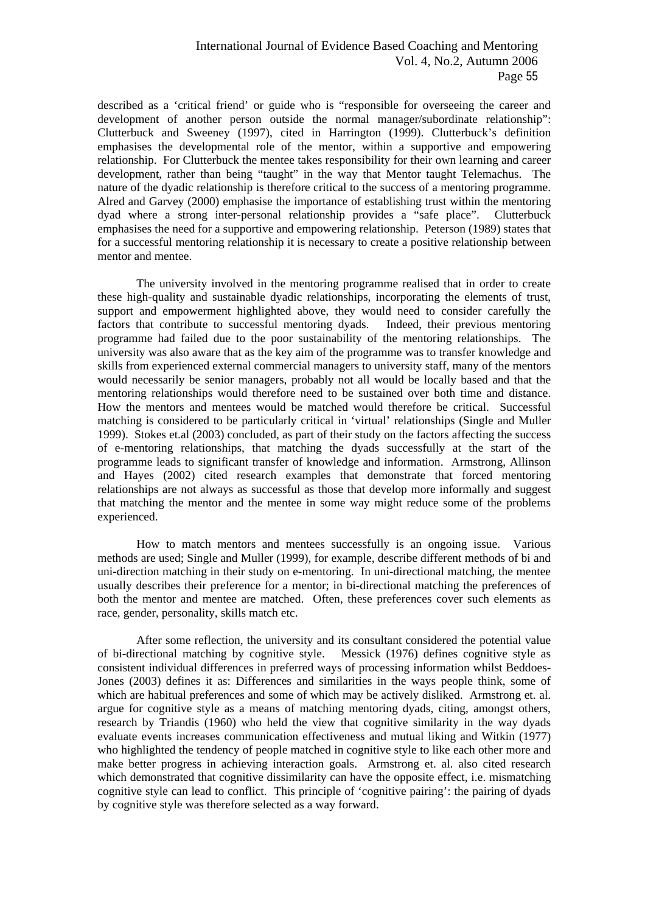described as a 'critical friend' or guide who is "responsible for overseeing the career and development of another person outside the normal manager/subordinate relationship": Clutterbuck and Sweeney (1997), cited in Harrington (1999). Clutterbuck's definition emphasises the developmental role of the mentor, within a supportive and empowering relationship. For Clutterbuck the mentee takes responsibility for their own learning and career development, rather than being "taught" in the way that Mentor taught Telemachus. The nature of the dyadic relationship is therefore critical to the success of a mentoring programme. Alred and Garvey (2000) emphasise the importance of establishing trust within the mentoring dyad where a strong inter-personal relationship provides a "safe place". Clutterbuck emphasises the need for a supportive and empowering relationship. Peterson (1989) states that for a successful mentoring relationship it is necessary to create a positive relationship between mentor and mentee.

 The university involved in the mentoring programme realised that in order to create these high-quality and sustainable dyadic relationships, incorporating the elements of trust, support and empowerment highlighted above, they would need to consider carefully the factors that contribute to successful mentoring dyads. Indeed, their previous mentoring programme had failed due to the poor sustainability of the mentoring relationships. The university was also aware that as the key aim of the programme was to transfer knowledge and skills from experienced external commercial managers to university staff, many of the mentors would necessarily be senior managers, probably not all would be locally based and that the mentoring relationships would therefore need to be sustained over both time and distance. How the mentors and mentees would be matched would therefore be critical. Successful matching is considered to be particularly critical in 'virtual' relationships (Single and Muller 1999). Stokes et.al (2003) concluded, as part of their study on the factors affecting the success of e-mentoring relationships, that matching the dyads successfully at the start of the programme leads to significant transfer of knowledge and information. Armstrong, Allinson and Hayes (2002) cited research examples that demonstrate that forced mentoring relationships are not always as successful as those that develop more informally and suggest that matching the mentor and the mentee in some way might reduce some of the problems experienced.

 How to match mentors and mentees successfully is an ongoing issue. Various methods are used; Single and Muller (1999), for example, describe different methods of bi and uni-direction matching in their study on e-mentoring. In uni-directional matching, the mentee usually describes their preference for a mentor; in bi-directional matching the preferences of both the mentor and mentee are matched. Often, these preferences cover such elements as race, gender, personality, skills match etc.

 After some reflection, the university and its consultant considered the potential value of bi-directional matching by cognitive style. Messick (1976) defines cognitive style as consistent individual differences in preferred ways of processing information whilst Beddoes-Jones (2003) defines it as: Differences and similarities in the ways people think, some of which are habitual preferences and some of which may be actively disliked.Armstrong et. al. argue for cognitive style as a means of matching mentoring dyads, citing, amongst others, research by Triandis (1960) who held the view that cognitive similarity in the way dyads evaluate events increases communication effectiveness and mutual liking and Witkin (1977) who highlighted the tendency of people matched in cognitive style to like each other more and make better progress in achieving interaction goals. Armstrong et. al. also cited research which demonstrated that cognitive dissimilarity can have the opposite effect, i.e. mismatching cognitive style can lead to conflict. This principle of 'cognitive pairing': the pairing of dyads by cognitive style was therefore selected as a way forward.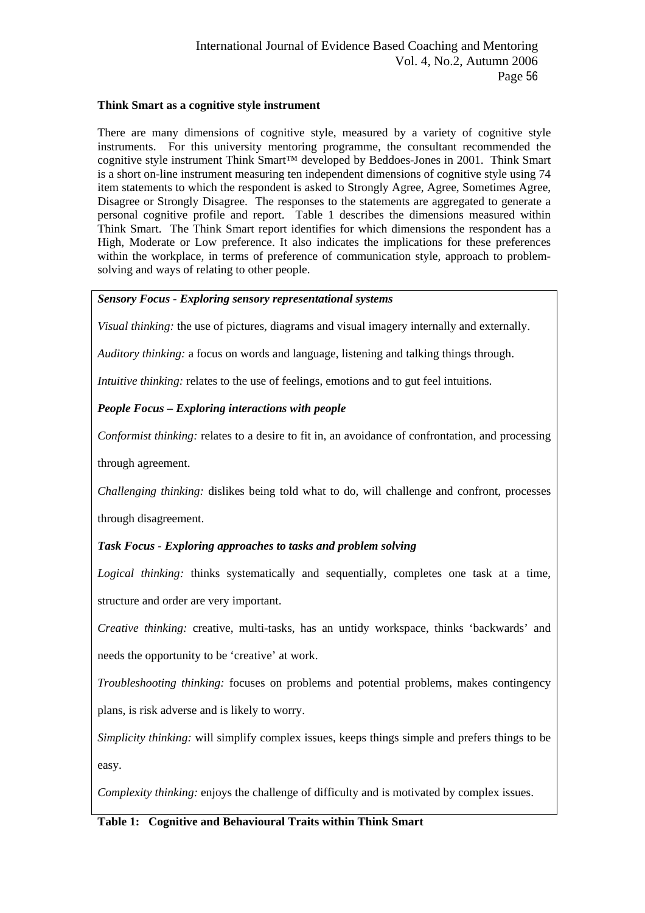## **Think Smart as a cognitive style instrument**

There are many dimensions of cognitive style, measured by a variety of cognitive style instruments. For this university mentoring programme, the consultant recommended the cognitive style instrument Think Smart™ developed by Beddoes-Jones in 2001. Think Smart is a short on-line instrument measuring ten independent dimensions of cognitive style using 74 item statements to which the respondent is asked to Strongly Agree, Agree, Sometimes Agree, Disagree or Strongly Disagree. The responses to the statements are aggregated to generate a personal cognitive profile and report. Table 1 describes the dimensions measured within Think Smart. The Think Smart report identifies for which dimensions the respondent has a High, Moderate or Low preference. It also indicates the implications for these preferences within the workplace, in terms of preference of communication style, approach to problemsolving and ways of relating to other people.

## *Sensory Focus - Exploring sensory representational systems*

*Visual thinking:* the use of pictures, diagrams and visual imagery internally and externally.

*Auditory thinking:* a focus on words and language, listening and talking things through.

*Intuitive thinking:* relates to the use of feelings, emotions and to gut feel intuitions.

## *People Focus – Exploring interactions with people*

*Conformist thinking:* relates to a desire to fit in, an avoidance of confrontation, and processing

through agreement.

*Challenging thinking:* dislikes being told what to do, will challenge and confront, processes

through disagreement.

## *Task Focus - Exploring approaches to tasks and problem solving*

*Logical thinking:* thinks systematically and sequentially, completes one task at a time, structure and order are very important.

*Creative thinking:* creative, multi-tasks, has an untidy workspace, thinks 'backwards' and needs the opportunity to be 'creative' at work.

*Troubleshooting thinking:* focuses on problems and potential problems, makes contingency plans, is risk adverse and is likely to worry.

*Simplicity thinking:* will simplify complex issues, keeps things simple and prefers things to be easy.

*Complexity thinking:* enjoys the challenge of difficulty and is motivated by complex issues.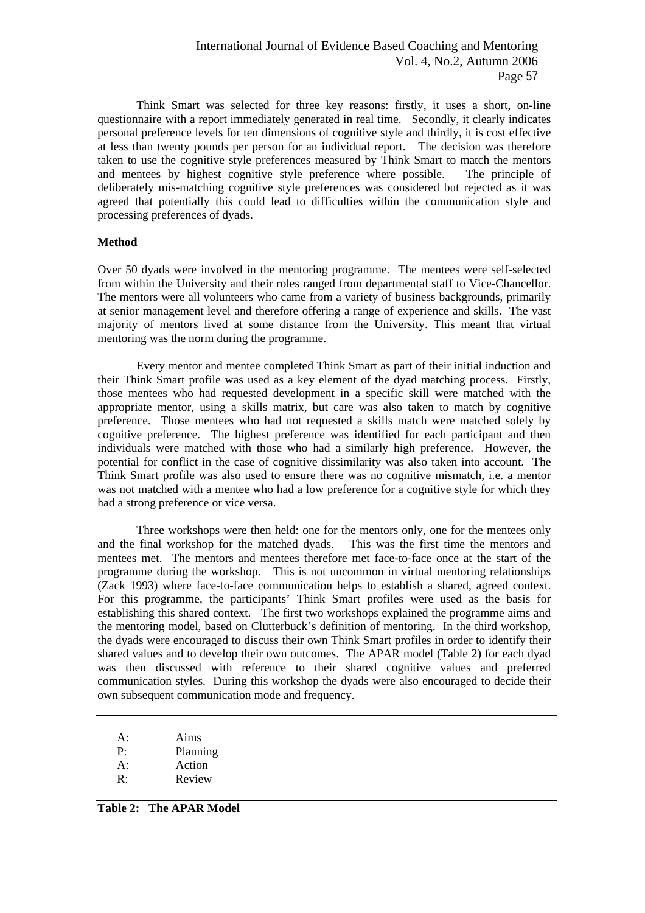Think Smart was selected for three key reasons: firstly, it uses a short, on-line questionnaire with a report immediately generated in real time. Secondly, it clearly indicates personal preference levels for ten dimensions of cognitive style and thirdly, it is cost effective at less than twenty pounds per person for an individual report. The decision was therefore taken to use the cognitive style preferences measured by Think Smart to match the mentors and mentees by highest cognitive style preference where possible. The principle of deliberately mis-matching cognitive style preferences was considered but rejected as it was agreed that potentially this could lead to difficulties within the communication style and processing preferences of dyads.

#### **Method**

Over 50 dyads were involved in the mentoring programme. The mentees were self-selected from within the University and their roles ranged from departmental staff to Vice-Chancellor. The mentors were all volunteers who came from a variety of business backgrounds, primarily at senior management level and therefore offering a range of experience and skills. The vast majority of mentors lived at some distance from the University. This meant that virtual mentoring was the norm during the programme.

 Every mentor and mentee completed Think Smart as part of their initial induction and their Think Smart profile was used as a key element of the dyad matching process. Firstly, those mentees who had requested development in a specific skill were matched with the appropriate mentor, using a skills matrix, but care was also taken to match by cognitive preference. Those mentees who had not requested a skills match were matched solely by cognitive preference. The highest preference was identified for each participant and then individuals were matched with those who had a similarly high preference. However, the potential for conflict in the case of cognitive dissimilarity was also taken into account. The Think Smart profile was also used to ensure there was no cognitive mismatch, i.e. a mentor was not matched with a mentee who had a low preference for a cognitive style for which they had a strong preference or vice versa.

 Three workshops were then held: one for the mentors only, one for the mentees only and the final workshop for the matched dyads. This was the first time the mentors and mentees met. The mentors and mentees therefore met face-to-face once at the start of the programme during the workshop. This is not uncommon in virtual mentoring relationships (Zack 1993) where face-to-face communication helps to establish a shared, agreed context. For this programme, the participants' Think Smart profiles were used as the basis for establishing this shared context. The first two workshops explained the programme aims and the mentoring model, based on Clutterbuck's definition of mentoring. In the third workshop, the dyads were encouraged to discuss their own Think Smart profiles in order to identify their shared values and to develop their own outcomes. The APAR model (Table 2) for each dyad was then discussed with reference to their shared cognitive values and preferred communication styles. During this workshop the dyads were also encouraged to decide their own subsequent communication mode and frequency.

| Aims<br>$A$ :<br>Planning<br>P٠<br>Action<br>$A$ :<br>Review<br>R٠ |  |
|--------------------------------------------------------------------|--|
|--------------------------------------------------------------------|--|

**Table 2: The APAR Model**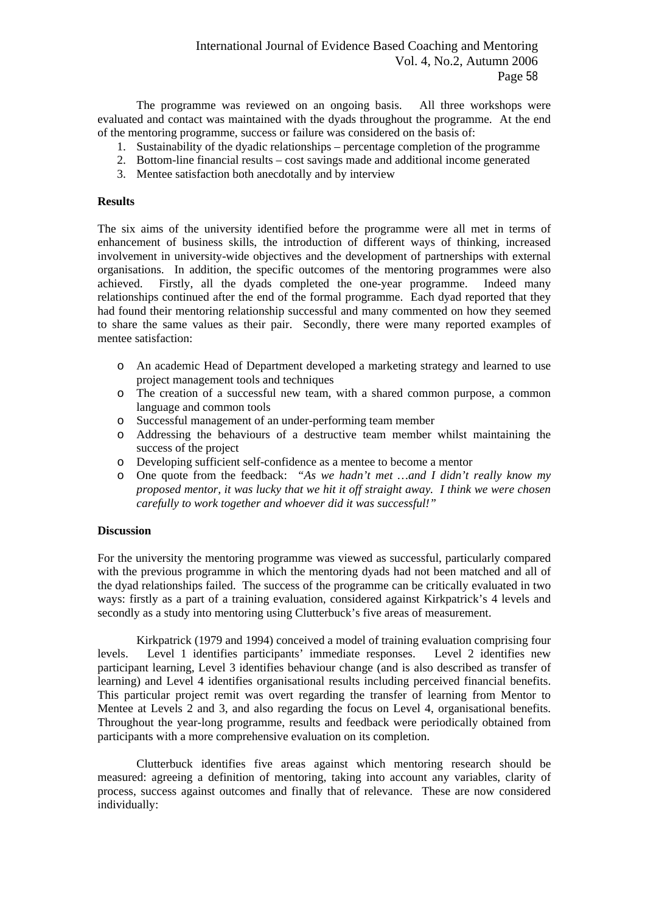The programme was reviewed on an ongoing basis. All three workshops were evaluated and contact was maintained with the dyads throughout the programme. At the end of the mentoring programme, success or failure was considered on the basis of:

- 1. Sustainability of the dyadic relationships percentage completion of the programme
- 2. Bottom-line financial results cost savings made and additional income generated
- 3. Mentee satisfaction both anecdotally and by interview

#### **Results**

The six aims of the university identified before the programme were all met in terms of enhancement of business skills, the introduction of different ways of thinking, increased involvement in university-wide objectives and the development of partnerships with external organisations. In addition, the specific outcomes of the mentoring programmes were also achieved. Firstly, all the dyads completed the one-year programme. Indeed many relationships continued after the end of the formal programme. Each dyad reported that they had found their mentoring relationship successful and many commented on how they seemed to share the same values as their pair. Secondly, there were many reported examples of mentee satisfaction:

- o An academic Head of Department developed a marketing strategy and learned to use project management tools and techniques
- o The creation of a successful new team, with a shared common purpose, a common language and common tools
- o Successful management of an under-performing team member
- o Addressing the behaviours of a destructive team member whilst maintaining the success of the project
- o Developing sufficient self-confidence as a mentee to become a mentor
- o One quote from the feedback: *"As we hadn't met …and I didn't really know my proposed mentor, it was lucky that we hit it off straight away. I think we were chosen carefully to work together and whoever did it was successful!"*

#### **Discussion**

For the university the mentoring programme was viewed as successful, particularly compared with the previous programme in which the mentoring dyads had not been matched and all of the dyad relationships failed. The success of the programme can be critically evaluated in two ways: firstly as a part of a training evaluation, considered against Kirkpatrick's 4 levels and secondly as a study into mentoring using Clutterbuck's five areas of measurement.

 Kirkpatrick (1979 and 1994) conceived a model of training evaluation comprising four levels. Level 1 identifies participants' immediate responses. Level 2 identifies new participant learning, Level 3 identifies behaviour change (and is also described as transfer of learning) and Level 4 identifies organisational results including perceived financial benefits. This particular project remit was overt regarding the transfer of learning from Mentor to Mentee at Levels 2 and 3, and also regarding the focus on Level 4, organisational benefits. Throughout the year-long programme, results and feedback were periodically obtained from participants with a more comprehensive evaluation on its completion.

 Clutterbuck identifies five areas against which mentoring research should be measured: agreeing a definition of mentoring, taking into account any variables, clarity of process, success against outcomes and finally that of relevance. These are now considered individually: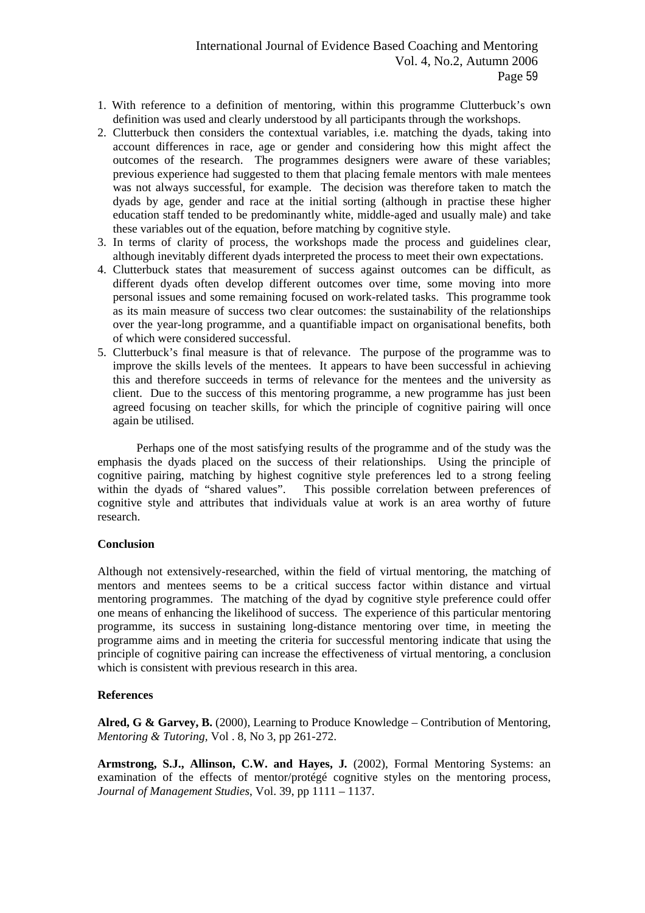- 1. With reference to a definition of mentoring, within this programme Clutterbuck's own definition was used and clearly understood by all participants through the workshops.
- 2. Clutterbuck then considers the contextual variables, i.e. matching the dyads, taking into account differences in race, age or gender and considering how this might affect the outcomes of the research. The programmes designers were aware of these variables; previous experience had suggested to them that placing female mentors with male mentees was not always successful, for example. The decision was therefore taken to match the dyads by age, gender and race at the initial sorting (although in practise these higher education staff tended to be predominantly white, middle-aged and usually male) and take these variables out of the equation, before matching by cognitive style.
- 3. In terms of clarity of process, the workshops made the process and guidelines clear, although inevitably different dyads interpreted the process to meet their own expectations.
- 4. Clutterbuck states that measurement of success against outcomes can be difficult, as different dyads often develop different outcomes over time, some moving into more personal issues and some remaining focused on work-related tasks. This programme took as its main measure of success two clear outcomes: the sustainability of the relationships over the year-long programme, and a quantifiable impact on organisational benefits, both of which were considered successful.
- 5. Clutterbuck's final measure is that of relevance. The purpose of the programme was to improve the skills levels of the mentees. It appears to have been successful in achieving this and therefore succeeds in terms of relevance for the mentees and the university as client. Due to the success of this mentoring programme, a new programme has just been agreed focusing on teacher skills, for which the principle of cognitive pairing will once again be utilised.

 Perhaps one of the most satisfying results of the programme and of the study was the emphasis the dyads placed on the success of their relationships. Using the principle of cognitive pairing, matching by highest cognitive style preferences led to a strong feeling within the dyads of "shared values". This possible correlation between preferences of cognitive style and attributes that individuals value at work is an area worthy of future research.

#### **Conclusion**

Although not extensively-researched, within the field of virtual mentoring, the matching of mentors and mentees seems to be a critical success factor within distance and virtual mentoring programmes. The matching of the dyad by cognitive style preference could offer one means of enhancing the likelihood of success. The experience of this particular mentoring programme, its success in sustaining long-distance mentoring over time, in meeting the programme aims and in meeting the criteria for successful mentoring indicate that using the principle of cognitive pairing can increase the effectiveness of virtual mentoring, a conclusion which is consistent with previous research in this area.

#### **References**

**Alred, G & Garvey, B.** (2000), Learning to Produce Knowledge – Contribution of Mentoring, *Mentoring & Tutoring,* Vol . 8, No 3, pp 261-272.

**Armstrong, S.J., Allinson, C.W. and Hayes, J***.* (2002), Formal Mentoring Systems: an examination of the effects of mentor/protégé cognitive styles on the mentoring process, *Journal of Management Studies*, Vol. 39, pp 1111 – 1137.